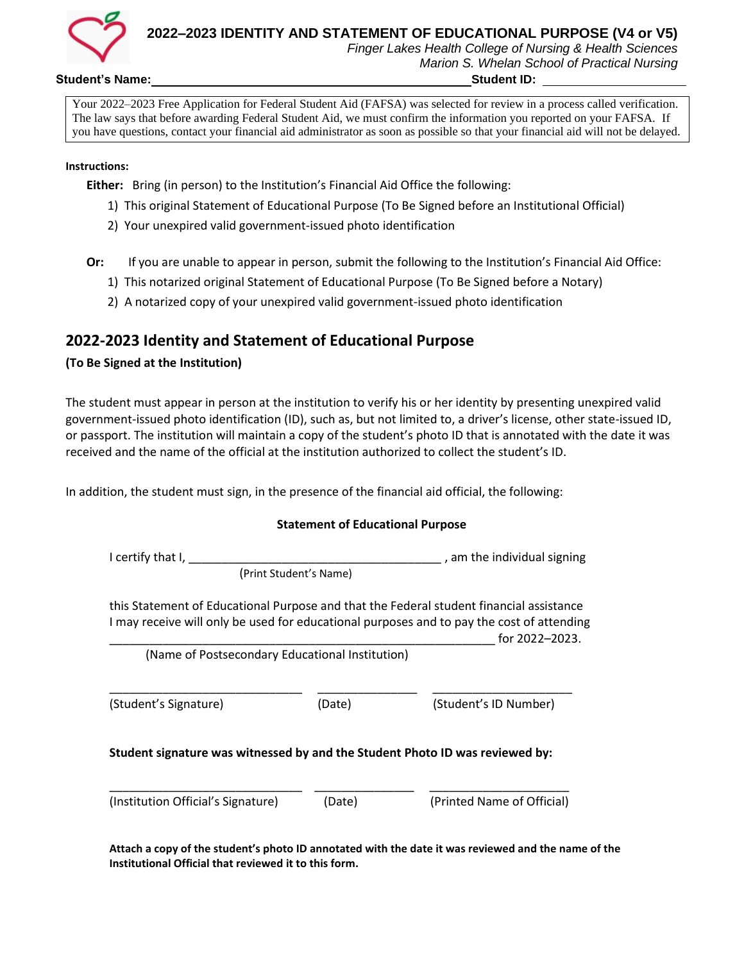

# **2022–2023 IDENTITY AND STATEMENT OF EDUCATIONAL PURPOSE (V4 or V5)**

*Finger Lakes Health College of Nursing & Health Sciences Marion S. Whelan School of Practical Nursing*

#### **Student's Name: Student ID:**

Your 2022–2023 Free Application for Federal Student Aid (FAFSA) was selected for review in a process called verification. The law says that before awarding Federal Student Aid, we must confirm the information you reported on your FAFSA. If you have questions, contact your financial aid administrator as soon as possible so that your financial aid will not be delayed.

#### **Instructions:**

**Either:** Bring (in person) to the Institution's Financial Aid Office the following:

- 1) This original Statement of Educational Purpose (To Be Signed before an Institutional Official)
- 2) Your unexpired valid government-issued photo identification

**Or:** If you are unable to appear in person, submit the following to the Institution's Financial Aid Office:

- 1) This notarized original Statement of Educational Purpose (To Be Signed before a Notary)
- 2) A notarized copy of your unexpired valid government-issued photo identification

## **2022-2023 Identity and Statement of Educational Purpose**

## **(To Be Signed at the Institution)**

The student must appear in person at the institution to verify his or her identity by presenting unexpired valid government-issued photo identification (ID), such as, but not limited to, a driver's license, other state-issued ID, or passport. The institution will maintain a copy of the student's photo ID that is annotated with the date it was received and the name of the official at the institution authorized to collect the student's ID.

In addition, the student must sign, in the presence of the financial aid official, the following:

#### **Statement of Educational Purpose**

| I certify that I,                                                                                                                                                                    | , am the individual signing |                            |  |  |
|--------------------------------------------------------------------------------------------------------------------------------------------------------------------------------------|-----------------------------|----------------------------|--|--|
| (Print Student's Name)                                                                                                                                                               |                             |                            |  |  |
| this Statement of Educational Purpose and that the Federal student financial assistance<br>I may receive will only be used for educational purposes and to pay the cost of attending |                             | for 2022-2023.             |  |  |
| (Name of Postsecondary Educational Institution)                                                                                                                                      |                             |                            |  |  |
| (Student's Signature)                                                                                                                                                                | (Date)                      | (Student's ID Number)      |  |  |
| Student signature was witnessed by and the Student Photo ID was reviewed by:                                                                                                         |                             |                            |  |  |
| (Institution Official's Signature)                                                                                                                                                   | (Date)                      | (Printed Name of Official) |  |  |

**Attach a copy of the student's photo ID annotated with the date it was reviewed and the name of the Institutional Official that reviewed it to this form.**